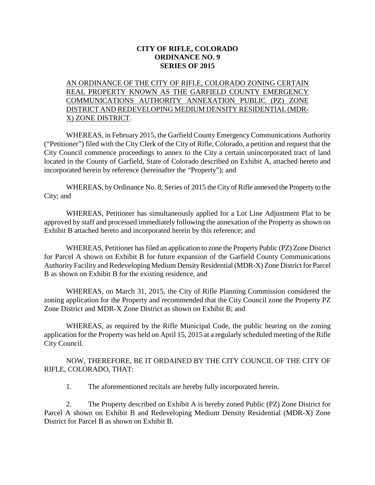## **CITY OF RIFLE, COLORADO ORDINANCE NO. 9 SERIES OF 2015**

## AN ORDINANCE OF THE CITY OF RIFLE, COLORADO ZONING CERTAIN REAL PROPERTY KNOWN AS THE GARFIELD COUNTY EMERGENCY COMMUNICATIONS AUTHORITY ANNEXATION PUBLIC (PZ) ZONE DISTRICT AND REDEVELOPING MEDIUM DENSITY RESIDENTIAL (MDR-X) ZONE DISTRICT.

WHEREAS, in February 2015, the Garfield County Emergency Communications Authority ("Petitioner") filed with the City Clerk of the City of Rifle, Colorado, a petition and request that the City Council commence proceedings to annex to the City a certain unincorporated tract of land located in the County of Garfield, State of Colorado described on Exhibit A, attached hereto and incorporated herein by reference (hereinafter the "Property"); and

WHEREAS, by Ordinance No. 8, Series of 2015 the City of Rifle annexed the Property to the City; and

WHEREAS, Petitioner has simultaneously applied for a Lot Line Adjustment Plat to be approved by staff and processed immediately following the annexation of the Property as shown on Exhibit B attached hereto and incorporated herein by this reference; and

WHEREAS, Petitioner has filed an application to zone the Property Public (PZ) Zone District for Parcel A shown on Exhibit B for future expansion of the Garfield County Communications Authority Facility and Redeveloping Medium Density Residential (MDR-X) Zone District for Parcel B as shown on Exhibit B for the existing residence, and

WHEREAS, on March 31, 2015, the City of Rifle Planning Commission considered the zoning application for the Property and recommended that the City Council zone the Property PZ Zone District and MDR-X Zone District as shown on Exhibit B; and

WHEREAS, as required by the Rifle Municipal Code, the public hearing on the zoning application for the Property was held on April 15, 2015 at a regularly scheduled meeting of the Rifle City Council.

NOW, THEREFORE, BE IT ORDAINED BY THE CITY COUNCIL OF THE CITY OF RIFLE, COLORADO, THAT:

1. The aforementioned recitals are hereby fully incorporated herein.

2. The Property described on Exhibit A is hereby zoned Public (PZ) Zone District for Parcel A shown on Exhibit B and Redeveloping Medium Density Residential (MDR-X) Zone District for Parcel B as shown on Exhibit B.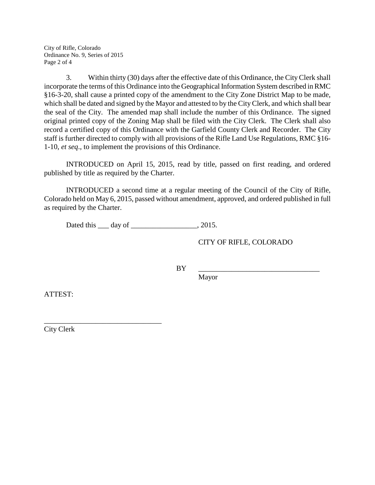City of Rifle, Colorado Ordinance No. 9, Series of 2015 Page 2 of 4

3. Within thirty (30) days after the effective date of this Ordinance, the City Clerk shall incorporate the terms of this Ordinance into the Geographical Information System described in RMC §16-3-20, shall cause a printed copy of the amendment to the City Zone District Map to be made, which shall be dated and signed by the Mayor and attested to by the City Clerk, and which shall bear the seal of the City. The amended map shall include the number of this Ordinance. The signed original printed copy of the Zoning Map shall be filed with the City Clerk. The Clerk shall also record a certified copy of this Ordinance with the Garfield County Clerk and Recorder. The City staff is further directed to comply with all provisions of the Rifle Land Use Regulations, RMC §16- 1-10, *et seq*., to implement the provisions of this Ordinance.

INTRODUCED on April 15, 2015, read by title, passed on first reading, and ordered published by title as required by the Charter.

INTRODUCED a second time at a regular meeting of the Council of the City of Rifle, Colorado held on May 6, 2015, passed without amendment, approved, and ordered published in full as required by the Charter.

Dated this <u>quare day of  $\frac{1}{2}$ </u>, 2015.

CITY OF RIFLE, COLORADO

BY \_\_\_\_\_\_\_\_\_\_\_\_\_\_\_\_\_\_\_\_\_\_\_\_\_\_\_\_\_\_\_\_\_

Mayor

ATTEST:

City Clerk

\_\_\_\_\_\_\_\_\_\_\_\_\_\_\_\_\_\_\_\_\_\_\_\_\_\_\_\_\_\_\_\_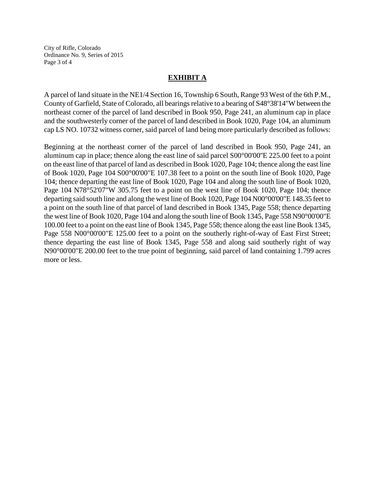City of Rifle, Colorado Ordinance No. 9, Series of 2015 Page 3 of 4

## **EXHIBIT A**

A parcel of land situate in the NE1/4 Section 16, Township 6 South, Range 93 West of the 6th P.M., County of Garfield, State of Colorado, all bearings relative to a bearing of S48°38'14"W between the northeast corner of the parcel of land described in Book 950, Page 241, an aluminum cap in place and the southwesterly corner of the parcel of land described in Book 1020, Page 104, an aluminum cap LS NO. 10732 witness corner, said parcel of land being more particularly described as follows:

Beginning at the northeast corner of the parcel of land described in Book 950, Page 241, an aluminum cap in place; thence along the east line of said parcel S00°00'00''E 225.00 feet to a point on the east line of that parcel of land as described in Book 1020, Page 104; thence along the east line of Book 1020, Page 104 S00°00'00"E 107.38 feet to a point on the south line of Book 1020, Page 104; thence departing the east line of Book 1020, Page 104 and along the south line of Book 1020, Page 104 N78°52'07"W 305.75 feet to a point on the west line of Book 1020, Page 104; thence departing said south line and along the west line of Book 1020, Page 104 N00°00'00"E 148.35 feet to a point on the south line of that parcel of land described in Book 1345, Page 558; thence departing the west line of Book 1020, Page 104 and along the south line of Book 1345, Page 558 N90°00'00"E 100.00 feet to a point on the east line of Book 1345, Page 558; thence along the east line Book 1345, Page 558 N00°00'00"E 125.00 feet to a point on the southerly right-of-way of East First Street; thence departing the east line of Book 1345, Page 558 and along said southerly right of way N90°00'00"E 200.00 feet to the true point of beginning, said parcel of land containing 1.799 acres more or less.